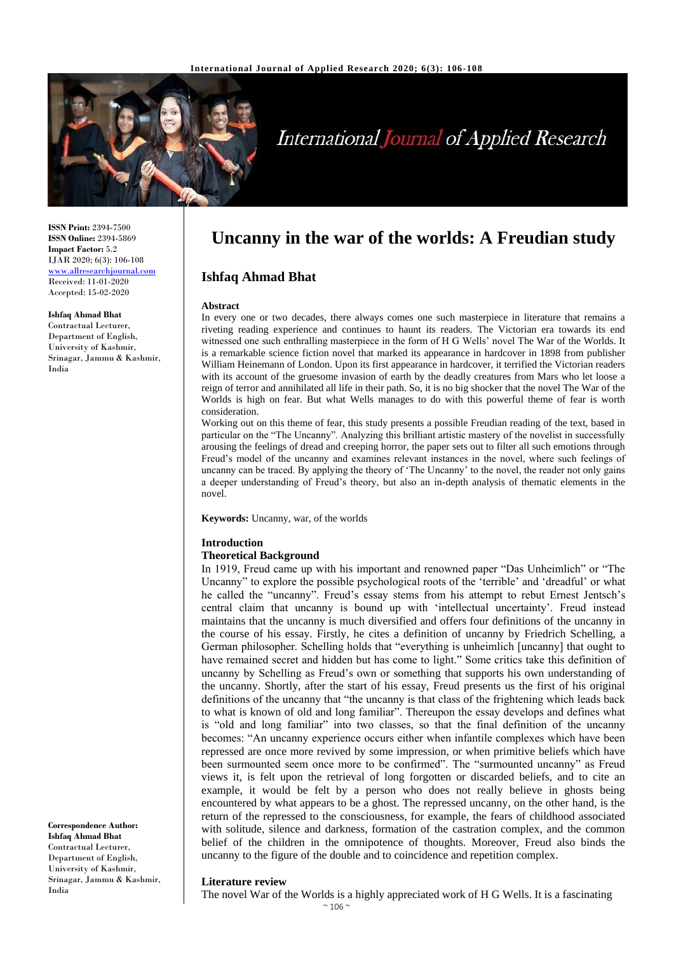

# **International Journal of Applied Research**

**ISSN Print:** 2394-7500 **ISSN Online:** 2394-5869 **Impact Factor:** 5.2 IJAR 2020; 6(3): 106-108 <www.allresearchjournal.com> Received: 11-01-2020 Accepted: 15-02-2020

#### **Ishfaq Ahmad Bhat**

Contractual Lecturer, Department of English, University of Kashmir, Srinagar, Jammu & Kashmir, India

**Correspondence Author: Ishfaq Ahmad Bhat** Contractual Lecturer, Department of English, University of Kashmir, Srinagar, Jammu & Kashmir, India

# **Uncanny in the war of the worlds: A Freudian study**

# **Ishfaq Ahmad Bhat**

#### **Abstract**

In every one or two decades, there always comes one such masterpiece in literature that remains a riveting reading experience and continues to haunt its readers. The Victorian era towards its end witnessed one such enthralling masterpiece in the form of H G Wells' novel The War of the Worlds. It is a remarkable science fiction novel that marked its appearance in hardcover in 1898 from publisher William Heinemann of London. Upon its first appearance in hardcover, it terrified the Victorian readers with its account of the gruesome invasion of earth by the deadly creatures from Mars who let loose a reign of terror and annihilated all life in their path. So, it is no big shocker that the novel The War of the Worlds is high on fear. But what Wells manages to do with this powerful theme of fear is worth consideration.

Working out on this theme of fear, this study presents a possible Freudian reading of the text, based in particular on the "The Uncanny". Analyzing this brilliant artistic mastery of the novelist in successfully arousing the feelings of dread and creeping horror, the paper sets out to filter all such emotions through Freud's model of the uncanny and examines relevant instances in the novel, where such feelings of uncanny can be traced. By applying the theory of 'The Uncanny' to the novel, the reader not only gains a deeper understanding of Freud's theory, but also an in-depth analysis of thematic elements in the novel.

**Keywords:** Uncanny, war, of the worlds

#### **Introduction**

#### **Theoretical Background**

In 1919, Freud came up with his important and renowned paper "Das Unheimlich" or "The Uncanny" to explore the possible psychological roots of the 'terrible' and 'dreadful' or what he called the "uncanny". Freud's essay stems from his attempt to rebut Ernest Jentsch's central claim that uncanny is bound up with 'intellectual uncertainty'. Freud instead maintains that the uncanny is much diversified and offers four definitions of the uncanny in the course of his essay. Firstly, he cites a definition of uncanny by Friedrich Schelling, a German philosopher. Schelling holds that "everything is unheimlich [uncanny] that ought to have remained secret and hidden but has come to light." Some critics take this definition of uncanny by Schelling as Freud's own or something that supports his own understanding of the uncanny. Shortly, after the start of his essay, Freud presents us the first of his original definitions of the uncanny that "the uncanny is that class of the frightening which leads back to what is known of old and long familiar". Thereupon the essay develops and defines what is "old and long familiar" into two classes, so that the final definition of the uncanny becomes: "An uncanny experience occurs either when infantile complexes which have been repressed are once more revived by some impression, or when primitive beliefs which have been surmounted seem once more to be confirmed". The "surmounted uncanny" as Freud views it, is felt upon the retrieval of long forgotten or discarded beliefs, and to cite an example, it would be felt by a person who does not really believe in ghosts being encountered by what appears to be a ghost. The repressed uncanny, on the other hand, is the return of the repressed to the consciousness, for example, the fears of childhood associated with solitude, silence and darkness, formation of the castration complex, and the common belief of the children in the omnipotence of thoughts. Moreover, Freud also binds the uncanny to the figure of the double and to coincidence and repetition complex.

#### **Literature review**

The novel War of the Worlds is a highly appreciated work of H G Wells. It is a fascinating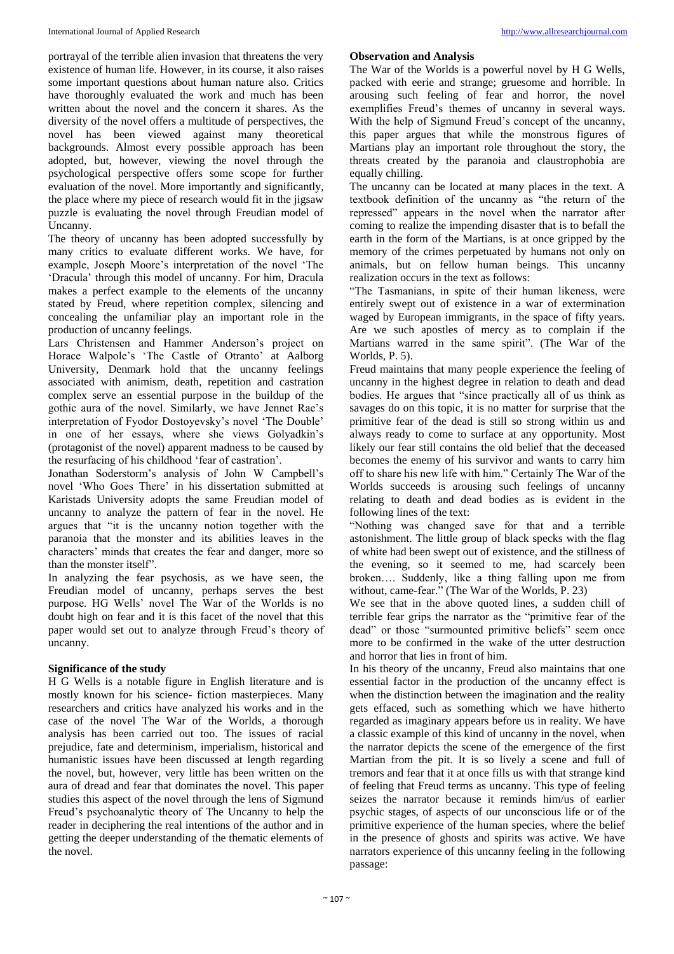portrayal of the terrible alien invasion that threatens the very existence of human life. However, in its course, it also raises some important questions about human nature also. Critics have thoroughly evaluated the work and much has been written about the novel and the concern it shares. As the diversity of the novel offers a multitude of perspectives, the novel has been viewed against many theoretical backgrounds. Almost every possible approach has been adopted, but, however, viewing the novel through the psychological perspective offers some scope for further evaluation of the novel. More importantly and significantly, the place where my piece of research would fit in the jigsaw puzzle is evaluating the novel through Freudian model of Uncanny.

The theory of uncanny has been adopted successfully by many critics to evaluate different works. We have, for example, Joseph Moore's interpretation of the novel 'The 'Dracula' through this model of uncanny. For him, Dracula makes a perfect example to the elements of the uncanny stated by Freud, where repetition complex, silencing and concealing the unfamiliar play an important role in the production of uncanny feelings.

Lars Christensen and Hammer Anderson's project on Horace Walpole's 'The Castle of Otranto' at Aalborg University, Denmark hold that the uncanny feelings associated with animism, death, repetition and castration complex serve an essential purpose in the buildup of the gothic aura of the novel. Similarly, we have Jennet Rae's interpretation of Fyodor Dostoyevsky's novel 'The Double' in one of her essays, where she views Golyadkin's (protagonist of the novel) apparent madness to be caused by the resurfacing of his childhood 'fear of castration'.

Jonathan Soderstorm's analysis of John W Campbell's novel 'Who Goes There' in his dissertation submitted at Karistads University adopts the same Freudian model of uncanny to analyze the pattern of fear in the novel. He argues that "it is the uncanny notion together with the paranoia that the monster and its abilities leaves in the characters' minds that creates the fear and danger, more so than the monster itself".

In analyzing the fear psychosis, as we have seen, the Freudian model of uncanny, perhaps serves the best purpose. HG Wells' novel The War of the Worlds is no doubt high on fear and it is this facet of the novel that this paper would set out to analyze through Freud's theory of uncanny.

# **Significance of the study**

H G Wells is a notable figure in English literature and is mostly known for his science- fiction masterpieces. Many researchers and critics have analyzed his works and in the case of the novel The War of the Worlds, a thorough analysis has been carried out too. The issues of racial prejudice, fate and determinism, imperialism, historical and humanistic issues have been discussed at length regarding the novel, but, however, very little has been written on the aura of dread and fear that dominates the novel. This paper studies this aspect of the novel through the lens of Sigmund Freud's psychoanalytic theory of The Uncanny to help the reader in deciphering the real intentions of the author and in getting the deeper understanding of the thematic elements of the novel.

# **Observation and Analysis**

The War of the Worlds is a powerful novel by H G Wells, packed with eerie and strange; gruesome and horrible. In arousing such feeling of fear and horror, the novel exemplifies Freud's themes of uncanny in several ways. With the help of Sigmund Freud's concept of the uncanny, this paper argues that while the monstrous figures of Martians play an important role throughout the story, the threats created by the paranoia and claustrophobia are equally chilling.

The uncanny can be located at many places in the text. A textbook definition of the uncanny as "the return of the repressed" appears in the novel when the narrator after coming to realize the impending disaster that is to befall the earth in the form of the Martians, is at once gripped by the memory of the crimes perpetuated by humans not only on animals, but on fellow human beings. This uncanny realization occurs in the text as follows:

"The Tasmanians, in spite of their human likeness, were entirely swept out of existence in a war of extermination waged by European immigrants, in the space of fifty years. Are we such apostles of mercy as to complain if the Martians warred in the same spirit". (The War of the Worlds, P. 5).

Freud maintains that many people experience the feeling of uncanny in the highest degree in relation to death and dead bodies. He argues that "since practically all of us think as savages do on this topic, it is no matter for surprise that the primitive fear of the dead is still so strong within us and always ready to come to surface at any opportunity. Most likely our fear still contains the old belief that the deceased becomes the enemy of his survivor and wants to carry him off to share his new life with him." Certainly The War of the Worlds succeeds is arousing such feelings of uncanny relating to death and dead bodies as is evident in the following lines of the text:

"Nothing was changed save for that and a terrible astonishment. The little group of black specks with the flag of white had been swept out of existence, and the stillness of the evening, so it seemed to me, had scarcely been broken…. Suddenly, like a thing falling upon me from without, came-fear." (The War of the Worlds, P. 23)

We see that in the above quoted lines, a sudden chill of terrible fear grips the narrator as the "primitive fear of the dead" or those "surmounted primitive beliefs" seem once more to be confirmed in the wake of the utter destruction and horror that lies in front of him.

In his theory of the uncanny, Freud also maintains that one essential factor in the production of the uncanny effect is when the distinction between the imagination and the reality gets effaced, such as something which we have hitherto regarded as imaginary appears before us in reality. We have a classic example of this kind of uncanny in the novel, when the narrator depicts the scene of the emergence of the first Martian from the pit. It is so lively a scene and full of tremors and fear that it at once fills us with that strange kind of feeling that Freud terms as uncanny. This type of feeling seizes the narrator because it reminds him/us of earlier psychic stages, of aspects of our unconscious life or of the primitive experience of the human species, where the belief in the presence of ghosts and spirits was active. We have narrators experience of this uncanny feeling in the following passage: